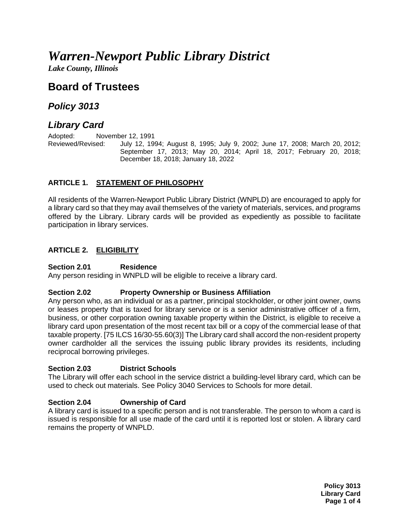# *Warren-Newport Public Library District*

*Lake County, Illinois*

# **Board of Trustees**

# *Policy 3013*

# *Library Card*

Adopted: November 12, 1991

Reviewed/Revised: July 12, 1994; August 8, 1995; July 9, 2002; June 17, 2008; March 20, 2012; September 17, 2013; May 20, 2014; April 18, 2017; February 20, 2018; December 18, 2018; January 18, 2022

# **ARTICLE 1. STATEMENT OF PHILOSOPHY**

All residents of the Warren-Newport Public Library District (WNPLD) are encouraged to apply for a library card so that they may avail themselves of the variety of materials, services, and programs offered by the Library. Library cards will be provided as expediently as possible to facilitate participation in library services.

# **ARTICLE 2. ELIGIBILITY**

#### **Section 2.01 Residence**

Any person residing in WNPLD will be eligible to receive a library card.

#### **Section 2.02 Property Ownership or Business Affiliation**

Any person who, as an individual or as a partner, principal stockholder, or other joint owner, owns or leases property that is taxed for library service or is a senior administrative officer of a firm, business, or other corporation owning taxable property within the District, is eligible to receive a library card upon presentation of the most recent tax bill or a copy of the commercial lease of that taxable property. [75 ILCS 16/30-55.60(3)] The Library card shall accord the non-resident property owner cardholder all the services the issuing public library provides its residents, including reciprocal borrowing privileges.

#### **Section 2.03 District Schools**

The Library will offer each school in the service district a building-level library card, which can be used to check out materials. See Policy 3040 Services to Schools for more detail.

# **Section 2.04 Ownership of Card**

A library card is issued to a specific person and is not transferable. The person to whom a card is issued is responsible for all use made of the card until it is reported lost or stolen. A library card remains the property of WNPLD.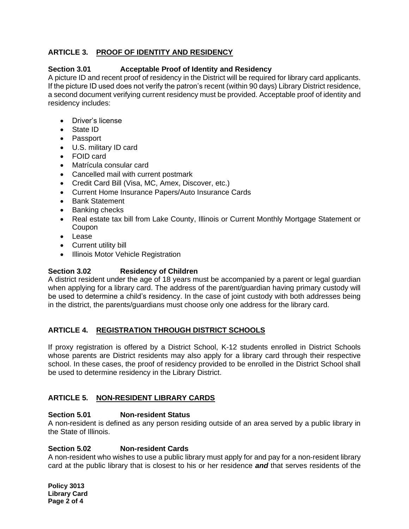# **ARTICLE 3. PROOF OF IDENTITY AND RESIDENCY**

### **Section 3.01 Acceptable Proof of Identity and Residency**

A picture ID and recent proof of residency in the District will be required for library card applicants. If the picture ID used does not verify the patron's recent (within 90 days) Library District residence, a second document verifying current residency must be provided. Acceptable proof of identity and residency includes:

- Driver's license
- State ID
- Passport
- U.S. military ID card
- FOID card
- Matrícula consular card
- Cancelled mail with current postmark
- Credit Card Bill (Visa, MC, Amex, Discover, etc.)
- Current Home Insurance Papers/Auto Insurance Cards
- Bank Statement
- Banking checks
- Real estate tax bill from Lake County, Illinois or Current Monthly Mortgage Statement or Coupon
- Lease
- Current utility bill
- Illinois Motor Vehicle Registration

# **Section 3.02 Residency of Children**

A district resident under the age of 18 years must be accompanied by a parent or legal guardian when applying for a library card. The address of the parent/guardian having primary custody will be used to determine a child's residency. In the case of joint custody with both addresses being in the district, the parents/guardians must choose only one address for the library card.

# **ARTICLE 4. REGISTRATION THROUGH DISTRICT SCHOOLS**

If proxy registration is offered by a District School, K-12 students enrolled in District Schools whose parents are District residents may also apply for a library card through their respective school. In these cases, the proof of residency provided to be enrolled in the District School shall be used to determine residency in the Library District.

#### **ARTICLE 5. NON-RESIDENT LIBRARY CARDS**

#### **Section 5.01 Non-resident Status**

A non-resident is defined as any person residing outside of an area served by a public library in the State of Illinois.

#### **Section 5.02 Non-resident Cards**

A non-resident who wishes to use a public library must apply for and pay for a non-resident library card at the public library that is closest to his or her residence *and* that serves residents of the

**Policy 3013 Library Card Page 2 of 4**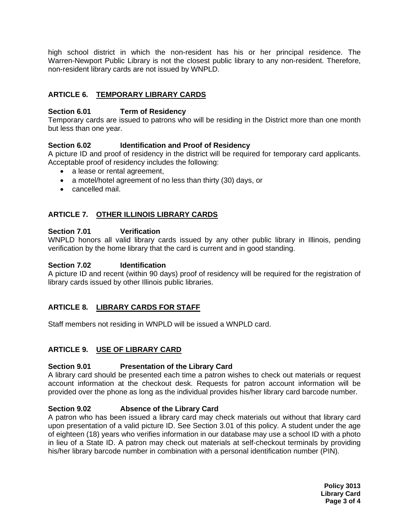high school district in which the non-resident has his or her principal residence. The Warren-Newport Public Library is not the closest public library to any non-resident. Therefore, non-resident library cards are not issued by WNPLD.

# **ARTICLE 6. TEMPORARY LIBRARY CARDS**

### **Section 6.01 Term of Residency**

Temporary cards are issued to patrons who will be residing in the District more than one month but less than one year.

#### **Section 6.02 Identification and Proof of Residency**

A picture ID and proof of residency in the district will be required for temporary card applicants. Acceptable proof of residency includes the following:

- a lease or rental agreement,
- a motel/hotel agreement of no less than thirty (30) days, or
- cancelled mail.

# **ARTICLE 7. OTHER ILLINOIS LIBRARY CARDS**

#### **Section 7.01 Verification**

WNPLD honors all valid library cards issued by any other public library in Illinois, pending verification by the home library that the card is current and in good standing.

### **Section 7.02 Identification**

A picture ID and recent (within 90 days) proof of residency will be required for the registration of library cards issued by other Illinois public libraries.

#### **ARTICLE 8. LIBRARY CARDS FOR STAFF**

Staff members not residing in WNPLD will be issued a WNPLD card.

# **ARTICLE 9. USE OF LIBRARY CARD**

#### **Section 9.01 Presentation of the Library Card**

A library card should be presented each time a patron wishes to check out materials or request account information at the checkout desk. Requests for patron account information will be provided over the phone as long as the individual provides his/her library card barcode number.

#### **Section 9.02 Absence of the Library Card**

A patron who has been issued a library card may check materials out without that library card upon presentation of a valid picture ID. See Section 3.01 of this policy. A student under the age of eighteen (18) years who verifies information in our database may use a school ID with a photo in lieu of a State ID. A patron may check out materials at self-checkout terminals by providing his/her library barcode number in combination with a personal identification number (PIN).

> **Policy 3013 Library Card Page 3 of 4**